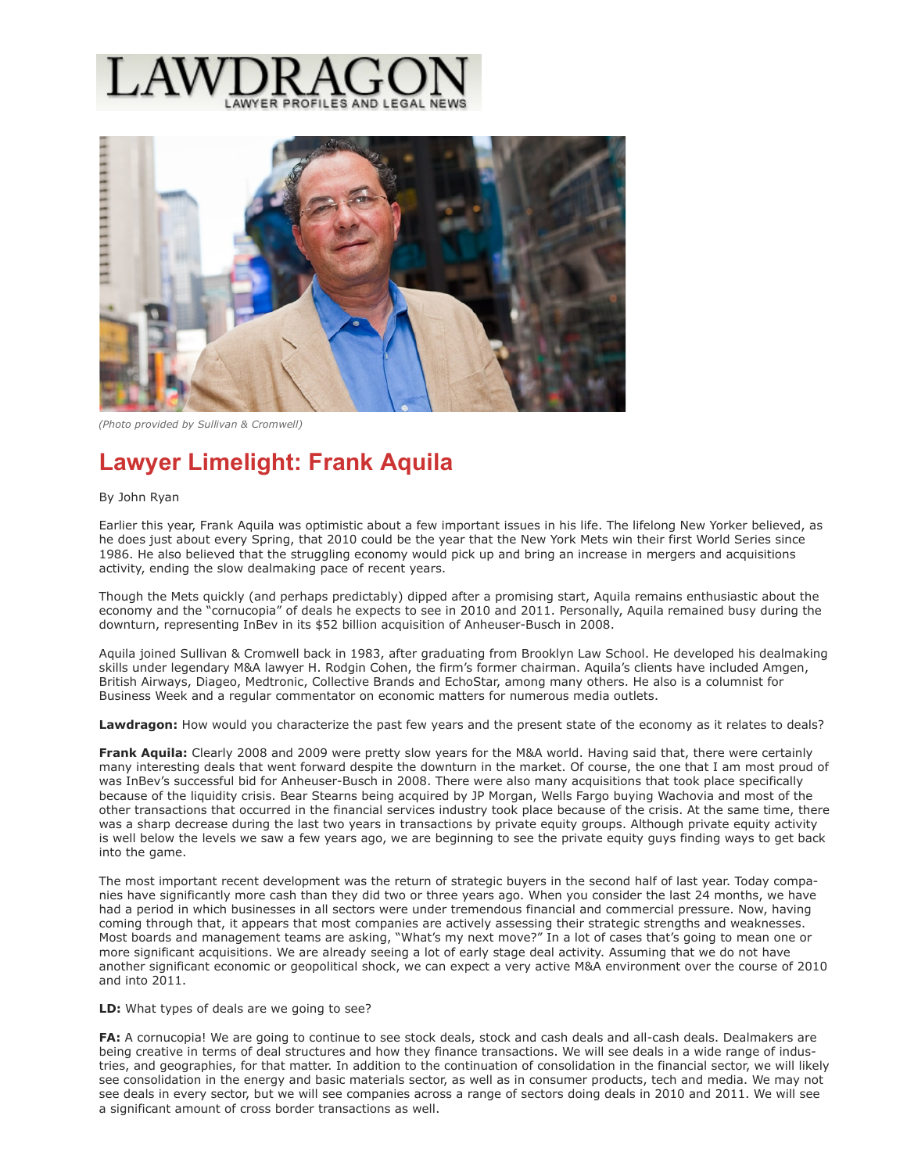



*(Photo provided by Sullivan & Cromwell)*

# **Lawyer Limelight: Frank Aquila**

#### By John Ryan

Earlier this year, Frank Aquila was optimistic about a few important issues in his life. The lifelong New Yorker believed, as he does just about every Spring, that 2010 could be the year that the New York Mets win their first World Series since 1986. He also believed that the struggling economy would pick up and bring an increase in mergers and acquisitions activity, ending the slow dealmaking pace of recent years.

Though the Mets quickly (and perhaps predictably) dipped after a promising start, Aquila remains enthusiastic about the economy and the "cornucopia" of deals he expects to see in 2010 and 2011. Personally, Aquila remained busy during the downturn, representing InBev in its \$52 billion acquisition of Anheuser-Busch in 2008.

Aquila joined Sullivan & Cromwell back in 1983, after graduating from Brooklyn Law School. He developed his dealmaking skills under legendary M&A lawyer H. Rodgin Cohen, the firm's former chairman. Aquila's clients have included Amgen, British Airways, Diageo, Medtronic, Collective Brands and EchoStar, among many others. He also is a columnist for Business Week and a regular commentator on economic matters for numerous media outlets.

**Lawdragon:** How would you characterize the past few years and the present state of the economy as it relates to deals?

**Frank Aquila:** Clearly 2008 and 2009 were pretty slow years for the M&A world. Having said that, there were certainly many interesting deals that went forward despite the downturn in the market. Of course, the one that I am most proud of was InBev's successful bid for Anheuser-Busch in 2008. There were also many acquisitions that took place specifically because of the liquidity crisis. Bear Stearns being acquired by JP Morgan, Wells Fargo buying Wachovia and most of the other transactions that occurred in the financial services industry took place because of the crisis. At the same time, there was a sharp decrease during the last two years in transactions by private equity groups. Although private equity activity is well below the levels we saw a few years ago, we are beginning to see the private equity guys finding ways to get back into the game.

The most important recent development was the return of strategic buyers in the second half of last year. Today companies have significantly more cash than they did two or three years ago. When you consider the last 24 months, we have had a period in which businesses in all sectors were under tremendous financial and commercial pressure. Now, having coming through that, it appears that most companies are actively assessing their strategic strengths and weaknesses. Most boards and management teams are asking, "What's my next move?" In a lot of cases that's going to mean one or more significant acquisitions. We are already seeing a lot of early stage deal activity. Assuming that we do not have another significant economic or geopolitical shock, we can expect a very active M&A environment over the course of 2010 and into 2011.

**LD:** What types of deals are we going to see?

**FA:** A cornucopia! We are going to continue to see stock deals, stock and cash deals and all-cash deals. Dealmakers are being creative in terms of deal structures and how they finance transactions. We will see deals in a wide range of industries, and geographies, for that matter. In addition to the continuation of consolidation in the financial sector, we will likely see consolidation in the energy and basic materials sector, as well as in consumer products, tech and media. We may not see deals in every sector, but we will see companies across a range of sectors doing deals in 2010 and 2011. We will see a significant amount of cross border transactions as well.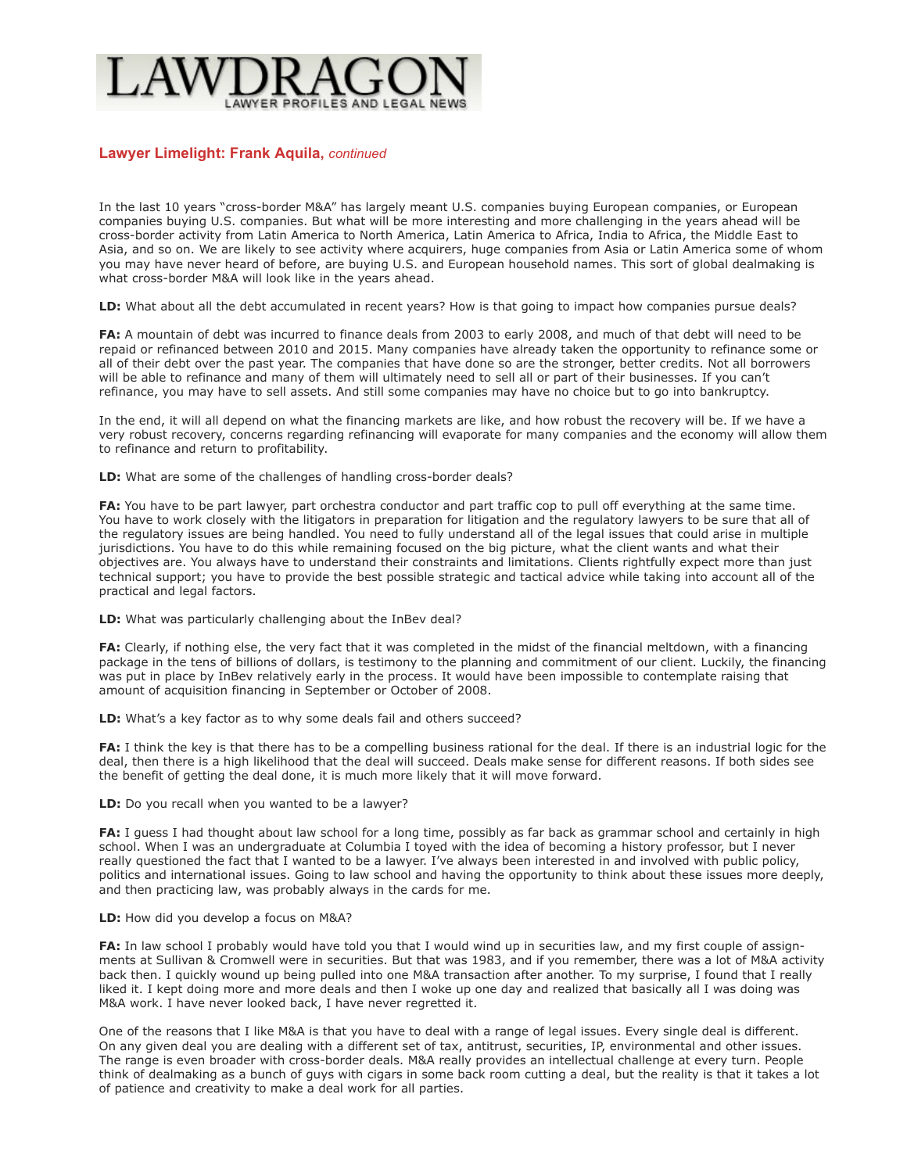# **Lawyer Limelight: Frank Aquila,** *continued*

In the last 10 years "cross-border M&A" has largely meant U.S. companies buying European companies, or European companies buying U.S. companies. But what will be more interesting and more challenging in the years ahead will be cross-border activity from Latin America to North America, Latin America to Africa, India to Africa, the Middle East to Asia, and so on. We are likely to see activity where acquirers, huge companies from Asia or Latin America some of whom you may have never heard of before, are buying U.S. and European household names. This sort of global dealmaking is what cross-border M&A will look like in the years ahead.

LD: What about all the debt accumulated in recent years? How is that going to impact how companies pursue deals?

**FA:** A mountain of debt was incurred to finance deals from 2003 to early 2008, and much of that debt will need to be repaid or refinanced between 2010 and 2015. Many companies have already taken the opportunity to refinance some or all of their debt over the past year. The companies that have done so are the stronger, better credits. Not all borrowers will be able to refinance and many of them will ultimately need to sell all or part of their businesses. If you can't refinance, you may have to sell assets. And still some companies may have no choice but to go into bankruptcy.

In the end, it will all depend on what the financing markets are like, and how robust the recovery will be. If we have a very robust recovery, concerns regarding refinancing will evaporate for many companies and the economy will allow them to refinance and return to profitability.

**LD:** What are some of the challenges of handling cross-border deals?

**FA:** You have to be part lawyer, part orchestra conductor and part traffic cop to pull off everything at the same time. You have to work closely with the litigators in preparation for litigation and the regulatory lawyers to be sure that all of the regulatory issues are being handled. You need to fully understand all of the legal issues that could arise in multiple jurisdictions. You have to do this while remaining focused on the big picture, what the client wants and what their objectives are. You always have to understand their constraints and limitations. Clients rightfully expect more than just technical support; you have to provide the best possible strategic and tactical advice while taking into account all of the practical and legal factors.

**LD:** What was particularly challenging about the InBev deal?

**FA:** Clearly, if nothing else, the very fact that it was completed in the midst of the financial meltdown, with a financing package in the tens of billions of dollars, is testimony to the planning and commitment of our client. Luckily, the financing was put in place by InBev relatively early in the process. It would have been impossible to contemplate raising that amount of acquisition financing in September or October of 2008.

LD: What's a key factor as to why some deals fail and others succeed?

**FA:** I think the key is that there has to be a compelling business rational for the deal. If there is an industrial logic for the deal, then there is a high likelihood that the deal will succeed. Deals make sense for different reasons. If both sides see the benefit of getting the deal done, it is much more likely that it will move forward.

**LD:** Do you recall when you wanted to be a lawyer?

**FA:** I guess I had thought about law school for a long time, possibly as far back as grammar school and certainly in high school. When I was an undergraduate at Columbia I toyed with the idea of becoming a history professor, but I never really questioned the fact that I wanted to be a lawyer. I've always been interested in and involved with public policy, politics and international issues. Going to law school and having the opportunity to think about these issues more deeply, and then practicing law, was probably always in the cards for me.

## **LD:** How did you develop a focus on M&A?

**FA:** In law school I probably would have told you that I would wind up in securities law, and my first couple of assignments at Sullivan & Cromwell were in securities. But that was 1983, and if you remember, there was a lot of M&A activity back then. I quickly wound up being pulled into one M&A transaction after another. To my surprise, I found that I really liked it. I kept doing more and more deals and then I woke up one day and realized that basically all I was doing was M&A work. I have never looked back, I have never regretted it.

One of the reasons that I like M&A is that you have to deal with a range of legal issues. Every single deal is different. On any given deal you are dealing with a different set of tax, antitrust, securities, IP, environmental and other issues. The range is even broader with cross-border deals. M&A really provides an intellectual challenge at every turn. People think of dealmaking as a bunch of guys with cigars in some back room cutting a deal, but the reality is that it takes a lot of patience and creativity to make a deal work for all parties.